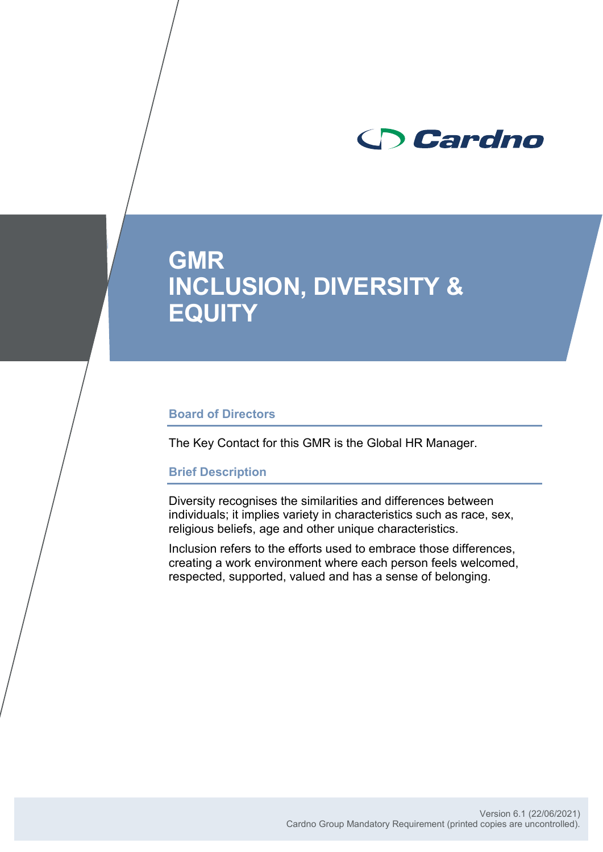

# **GMR INCLUSION, DIVERSITY & EQUITY**

### **Board of Directors**

The Key Contact for this GMR is the Global HR Manager.

### **Brief Description**

Diversity recognises the similarities and differences between individuals; it implies variety in characteristics such as race, sex, religious beliefs, age and other unique characteristics.

Inclusion refers to the efforts used to embrace those differences, creating a work environment where each person feels welcomed, respected, supported, valued and has a sense of belonging.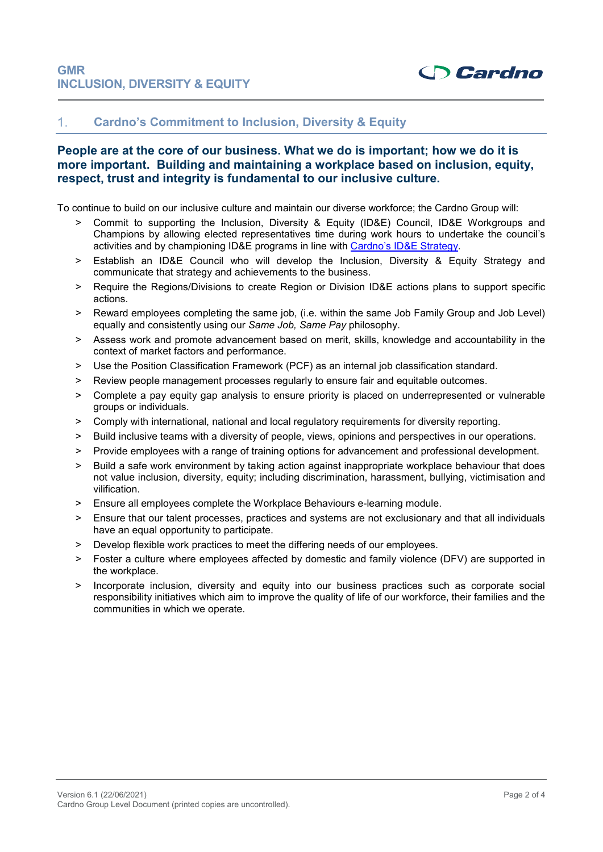

#### **Cardno's Commitment to Inclusion, Diversity & Equity**  $1<sub>1</sub>$

### **People are at the core of our business. What we do is important; how we do it is more important. Building and maintaining a workplace based on inclusion, equity, respect, trust and integrity is fundamental to our inclusive culture.**

To continue to build on our inclusive culture and maintain our diverse workforce; the Cardno Group will:

- > Commit to supporting the Inclusion, Diversity & Equity (ID&E) Council, ID&E Workgroups and Champions by allowing elected representatives time during work hours to undertake the council's activities and by championing ID&E programs in line with [Cardno's ID&E](https://cardno1.sharepoint.com/sites/InclusionandDiversity/Shared%20Documents/Forms/AllItems.aspx?id=%2Fsites%2FInclusionandDiversity%2FShared%20Documents%2FCEO%20Managing%20Director%20Update%20%2Dptember%20%2D%20ID%20Update%5Fdraft%20v0%2E4%2029%2Epdf&parent=%2Fsites%2FInclusionandDiversity%2FShared%20Documents) Strategy.
- > Establish an ID&E Council who will develop the Inclusion, Diversity & Equity Strategy and communicate that strategy and achievements to the business.
- > Require the Regions/Divisions to create Region or Division ID&E actions plans to support specific actions.
- > Reward employees completing the same job, (i.e. within the same Job Family Group and Job Level) equally and consistently using our *Same Job, Same Pay* philosophy.
- > Assess work and promote advancement based on merit, skills, knowledge and accountability in the context of market factors and performance.
- ˃ Use the Position Classification Framework (PCF) as an internal job classification standard.
- > Review people management processes regularly to ensure fair and equitable outcomes.
- ˃ Complete a pay equity gap analysis to ensure priority is placed on underrepresented or vulnerable groups or individuals.
- ˃ Comply with international, national and local regulatory requirements for diversity reporting.
- > Build inclusive teams with a diversity of people, views, opinions and perspectives in our operations.
- ˃ Provide employees with a range of training options for advancement and professional development.
- > Build a safe work environment by taking action against inappropriate workplace behaviour that does not value inclusion, diversity, equity; including discrimination, harassment, bullying, victimisation and vilification.
- > Ensure all employees complete the Workplace Behaviours e-learning module.
- ˃ Ensure that our talent processes, practices and systems are not exclusionary and that all individuals have an equal opportunity to participate.
- ˃ Develop flexible work practices to meet the differing needs of our employees.
- > Foster a culture where employees affected by domestic and family violence (DFV) are supported in the workplace.
- > Incorporate inclusion, diversity and equity into our business practices such as corporate social responsibility initiatives which aim to improve the quality of life of our workforce, their families and the communities in which we operate.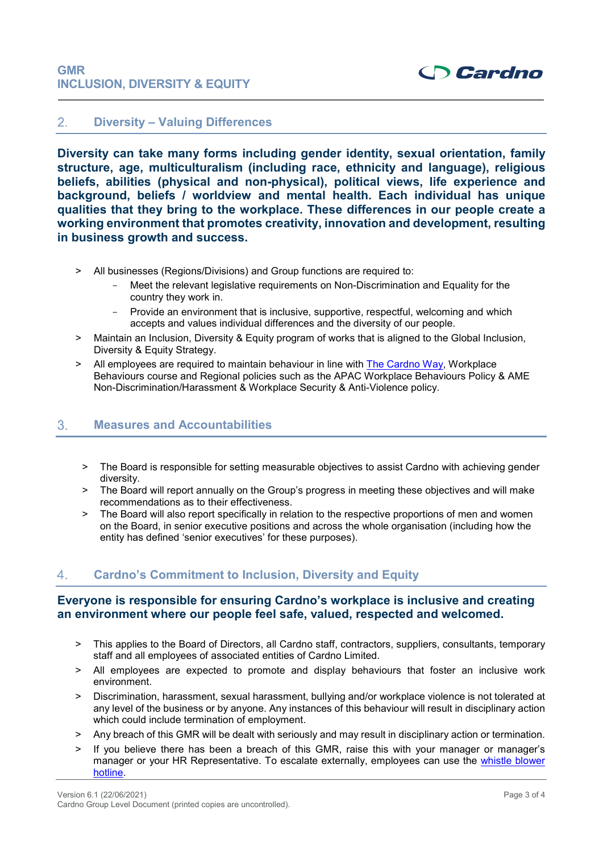#### $2.$ **Diversity – Valuing Differences**

**Diversity can take many forms including gender identity, sexual orientation, family structure, age, multiculturalism (including race, ethnicity and language), religious beliefs, abilities (physical and non-physical), political views, life experience and background, beliefs / worldview and mental health. Each individual has unique qualities that they bring to the workplace. These differences in our people create a working environment that promotes creativity, innovation and development, resulting in business growth and success.**

- > All businesses (Regions/Divisions) and Group functions are required to:
	- Meet the relevant legislative requirements on Non-Discrimination and Equality for the country they work in.
	- Provide an environment that is inclusive, supportive, respectful, welcoming and which accepts and values individual differences and the diversity of our people.
- > Maintain an Inclusion, Diversity & Equity program of works that is aligned to the Global Inclusion, Diversity & Equity Strategy.
- > All employees are required to maintain behaviour in line with [The Cardno Way,](https://cardno1.sharepoint.com/:b:/r/sites/Intranet_Global_Policies/English%20Global%20Policy%20and%20Procedure%20register/Cardno%20Code%20of%20Conduct%20Policy%20-%20The%20Cardno%20Way.pdf?csf=1&web=1&e=14PxBA) Workplace Behaviours course and Regional policies such as the APAC Workplace Behaviours Policy & AME Non-Discrimination/Harassment & Workplace Security & Anti-Violence policy.

#### 3. **Measures and Accountabilities**

- > The Board is responsible for setting measurable objectives to assist Cardno with achieving gender diversity.
- > The Board will report annually on the Group's progress in meeting these objectives and will make recommendations as to their effectiveness.
- > The Board will also report specifically in relation to the respective proportions of men and women on the Board, in senior executive positions and across the whole organisation (including how the entity has defined 'senior executives' for these purposes).

### $4.$ **Cardno's Commitment to Inclusion, Diversity and Equity**

### **Everyone is responsible for ensuring Cardno's workplace is inclusive and creating an environment where our people feel safe, valued, respected and welcomed.**

- ˃ This applies to the Board of Directors, all Cardno staff, contractors, suppliers, consultants, temporary staff and all employees of associated entities of Cardno Limited.
- ˃ All employees are expected to promote and display behaviours that foster an inclusive work environment.
- > Discrimination, harassment, sexual harassment, bullying and/or workplace violence is not tolerated at any level of the business or by anyone. Any instances of this behaviour will result in disciplinary action which could include termination of employment.
- > Any breach of this GMR will be dealt with seriously and may result in disciplinary action or termination.
- ˃ If you believe there has been a breach of this GMR, raise this with your manager or manager's manager or your HR Representative. To escalate externally, employees can use the [whistle blower](https://cardno1.sharepoint.com/sites/CWHotline)  [hotline.](https://cardno1.sharepoint.com/sites/CWHotline)